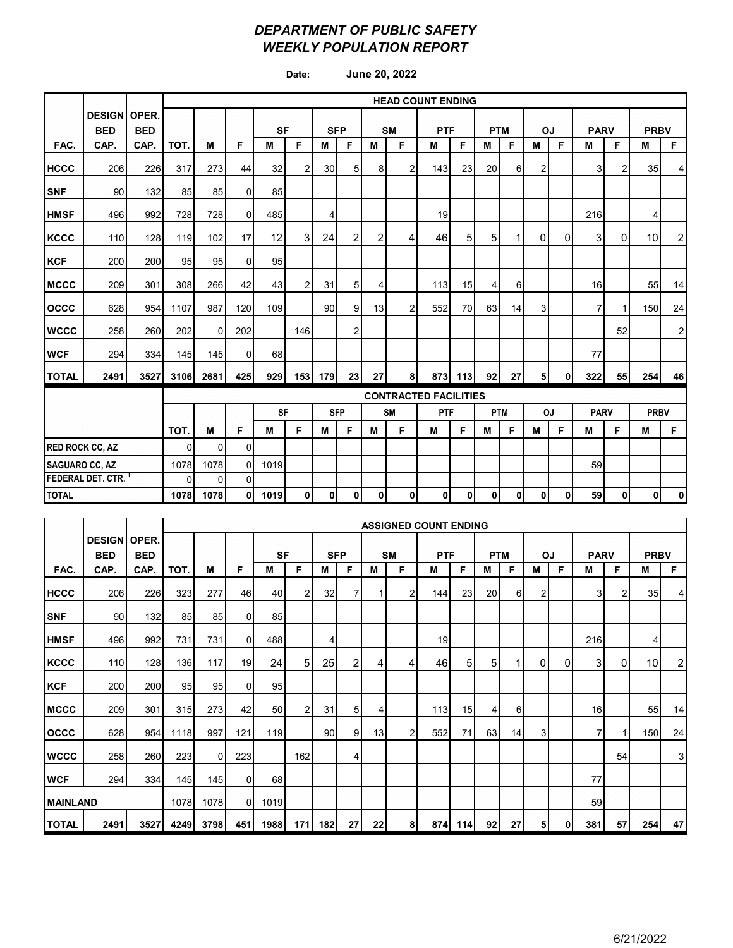### *DEPARTMENT OF PUBLIC SAFETY WEEKLY POPULATION REPORT*

**Date: June 20, 2022**

|                        |                                   |            | <b>HEAD COUNT ENDING</b> |          |                |           |                |            |                |                |                |                              |     |            |          |                |                |             |                |             |                |
|------------------------|-----------------------------------|------------|--------------------------|----------|----------------|-----------|----------------|------------|----------------|----------------|----------------|------------------------------|-----|------------|----------|----------------|----------------|-------------|----------------|-------------|----------------|
|                        | <b>DESIGN OPER.</b><br><b>BED</b> | <b>BED</b> |                          |          |                | <b>SF</b> |                |            | <b>SFP</b>     |                | <b>SM</b>      | <b>PTF</b>                   |     | <b>PTM</b> |          | OJ             |                | <b>PARV</b> |                | <b>PRBV</b> |                |
| FAC.                   | CAP.                              | CAP.       | TOT.                     | M        | F              | M         | F              | м          | F              | M              | F              | M                            | F   | M          | F        | м              | F              | M           | F              | M           | F              |
| <b>HCCC</b>            | 206                               | 226        | 317                      | 273      | 44             | 32        | $\overline{2}$ | 30         | 5 <sup>1</sup> | 8 <sup>1</sup> | 2              | 143                          | 23  | 20         | $6 \mid$ | $\overline{a}$ |                | 3           | $\overline{2}$ | 35          | $\overline{4}$ |
| <b>SNF</b>             | 90                                | 132        | 85                       | 85       | 0              | 85        |                |            |                |                |                |                              |     |            |          |                |                |             |                |             |                |
| <b>HMSF</b>            | 496                               | 992        | 728                      | 728      | 0              | 485       |                | 4          |                |                |                | 19                           |     |            |          |                |                | 216         |                | 4           |                |
| <b>KCCC</b>            | 110                               | 128        | 119                      | 102      | 17             | 12        | 3              | 24         | $\overline{2}$ | $\overline{2}$ | 4              | 46                           | 5   | 5          | 1        | $\overline{0}$ | $\overline{0}$ | 3           | $\Omega$       | 10          | $\overline{c}$ |
| <b>KCF</b>             | 200                               | 200        | 95                       | 95       | 0              | 95        |                |            |                |                |                |                              |     |            |          |                |                |             |                |             |                |
| <b>MCCC</b>            | 209                               | 301        | 308                      | 266      | 42             | 43        | $\overline{2}$ | 31         | 5 <sup>1</sup> | 4              |                | 113                          | 15  | 4          | 6        |                |                | 16          |                | 55          | 14             |
| <b>OCCC</b>            | 628                               | 954        | 1107                     | 987      | 120            | 109       |                | 90         | 9              | 13             | $\overline{2}$ | 552                          | 70  | 63         | 14       | 3              |                | 7           |                | 150         | 24             |
| <b>WCCC</b>            | 258                               | 260        | 202                      | $\Omega$ | 202            |           | 146            |            | $\overline{c}$ |                |                |                              |     |            |          |                |                |             | 52             |             | $\mathbf 2$    |
| <b>WCF</b>             | 294                               | 334        | 145                      | 145      | 0              | 68        |                |            |                |                |                |                              |     |            |          |                |                | 77          |                |             |                |
| <b>TOTAL</b>           | 2491                              | 3527       | 3106                     | 2681     | 425            | 929       | 153            | 179        | 23             | 27             | 8              | 873                          | 113 | 92         | 27       | 5 <sub>l</sub> | 0              | 322         | 55             | 254         | 46             |
|                        |                                   |            |                          |          |                |           |                |            |                |                |                | <b>CONTRACTED FACILITIES</b> |     |            |          |                |                |             |                |             |                |
|                        |                                   |            |                          |          | <b>SF</b>      |           |                | <b>SFP</b> |                | <b>SM</b>      | <b>PTF</b>     |                              |     | <b>PTM</b> |          | OJ             | <b>PARV</b>    |             | <b>PRBV</b>    |             |                |
|                        |                                   |            | TOT.                     | M        | F              | M         | F.             | М          | F              | М              | F              | M                            | F   | м          | F        | M              | F              | M           | F              | M           | F              |
| <b>RED ROCK CC, AZ</b> |                                   |            | $\Omega$                 | 0        | $\Omega$       |           |                |            |                |                |                |                              |     |            |          |                |                |             |                |             |                |
|                        | <b>SAGUARO CC, AZ</b>             |            |                          | 1078     | $\Omega$       | 1019      |                |            |                |                |                |                              |     |            |          |                |                | 59          |                |             |                |
|                        | <b>FEDERAL DET. CTR.</b>          |            |                          | $\Omega$ | $\overline{0}$ |           |                |            |                |                |                |                              |     |            |          |                |                |             |                |             |                |
| <b>TOTAL</b>           |                                   |            | 1078                     | 1078     | 0              | 1019      | $\mathbf{0}$   | 0          | 0              | $\mathbf{0}$   | 0              | 0                            | 0   | 0          | 0        | $\mathbf 0$    | $\mathbf{0}$   | 59          | $\mathbf{0}$   | $\mathbf 0$ | $\pmb{0}$      |

|                 |                             |                     | <b>ASSIGNED COUNT ENDING</b> |          |          |      |                |                 |                |    |           |            |     |            |          |                |          |             |    |                 |              |
|-----------------|-----------------------------|---------------------|------------------------------|----------|----------|------|----------------|-----------------|----------------|----|-----------|------------|-----|------------|----------|----------------|----------|-------------|----|-----------------|--------------|
|                 | <b>DESIGN</b><br><b>BED</b> | OPER.<br><b>BED</b> |                              |          |          | SF   |                | <b>SFP</b>      |                |    | <b>SM</b> | <b>PTF</b> |     | <b>PTM</b> |          | OJ             |          | <b>PARV</b> |    | <b>PRBV</b>     |              |
| FAC.            | CAP.                        | CAP.                | TOT.                         | M        | F        | М    | F              | м               | F              | М  | F         | M          | F   | м          | F        | М              | F        | М           | F  | М               | F            |
| <b>HCCC</b>     | 206                         | 226                 | 323                          | 277      | 46       | 40   | $\overline{2}$ | 32 <sub>l</sub> | 7              |    | 2         | 144        | 23  | 20         | $6 \mid$ | $\overline{2}$ |          | 3           | 2  | 35              | 4            |
| <b>SNF</b>      | 90                          | 132                 | 85                           | 85       | 0        | 85   |                |                 |                |    |           |            |     |            |          |                |          |             |    |                 |              |
| <b>HMSF</b>     | 496                         | 992                 | 731                          | 731      | $\Omega$ | 488  |                | 41              |                |    |           | 19         |     |            |          |                |          | 216         |    | 4               |              |
| <b>KCCC</b>     | 110                         | 128                 | 136                          | 117      | 19       | 24   | 5 <sup>5</sup> | 25              | $\overline{2}$ | 4  | 4         | 46         | 5   | 5          |          | $\mathbf{0}$   | $\Omega$ | 3           | 0  | 10 <sup>1</sup> | $\mathbf{2}$ |
| <b>KCF</b>      | 200                         | 200                 | 95                           | 95       | $\Omega$ | 95   |                |                 |                |    |           |            |     |            |          |                |          |             |    |                 |              |
| <b>MCCC</b>     | 209                         | 301                 | 315                          | 273      | 42       | 50   | $\overline{2}$ | 31              | 5              | 4  |           | 113        | 15  | 4          | 6        |                |          | 16          |    | 55              | 14           |
| <b>OCCC</b>     | 628                         | 954                 | 1118                         | 997      | 121      | 119  |                | 90 <sup>1</sup> | $\overline{9}$ | 13 | 2         | 552        | 71  | 63         | 14       | 3              |          | 7           |    | 150             | 24           |
| <b>WCCC</b>     | 258                         | 260                 | 223                          | $\Omega$ | 223      |      | 162            |                 | 4              |    |           |            |     |            |          |                |          |             | 54 |                 | 3            |
| <b>WCF</b>      | 294                         | 334                 | 145                          | 145      | $\Omega$ | 68   |                |                 |                |    |           |            |     |            |          |                |          | 77          |    |                 |              |
| <b>MAINLAND</b> |                             |                     | 1078                         | 1078     | $\Omega$ | 1019 |                |                 |                |    |           |            |     |            |          |                |          | 59          |    |                 |              |
| <b>TOTAL</b>    | 2491                        | 3527                | 4249                         | 3798     | 451      | 1988 | 171            | 182             | 27             | 22 | 8         | 874        | 114 | 92         | 27       | 5              | 0        | 381         | 57 | 254             | 47           |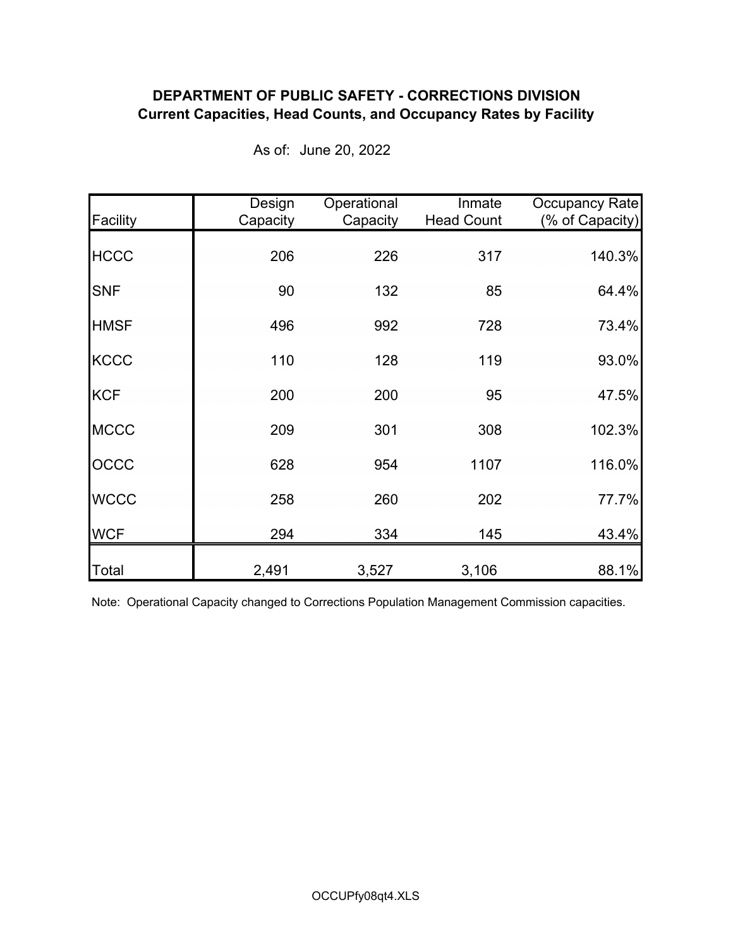## **DEPARTMENT OF PUBLIC SAFETY - CORRECTIONS DIVISION Current Capacities, Head Counts, and Occupancy Rates by Facility**

| Facility    | Design<br>Capacity | Operational<br>Capacity | Inmate<br><b>Head Count</b> | <b>Occupancy Rate</b><br>(% of Capacity) |
|-------------|--------------------|-------------------------|-----------------------------|------------------------------------------|
| <b>HCCC</b> | 206                | 226                     | 317                         | 140.3%                                   |
| <b>SNF</b>  | 90                 | 132                     | 85                          | 64.4%                                    |
| <b>HMSF</b> | 496                | 992                     | 728                         | 73.4%                                    |
| <b>KCCC</b> | 110                | 128                     | 119                         | 93.0%                                    |
| <b>KCF</b>  | 200                | 200                     | 95                          | 47.5%                                    |
| <b>MCCC</b> | 209                | 301                     | 308                         | 102.3%                                   |
| OCCC        | 628                | 954                     | 1107                        | 116.0%                                   |
| <b>WCCC</b> | 258                | 260                     | 202                         | 77.7%                                    |
| <b>WCF</b>  | 294                | 334                     | 145                         | 43.4%                                    |
| Total       | 2,491              | 3,527                   | 3,106                       | 88.1%                                    |

As of: June 20, 2022

Note: Operational Capacity changed to Corrections Population Management Commission capacities.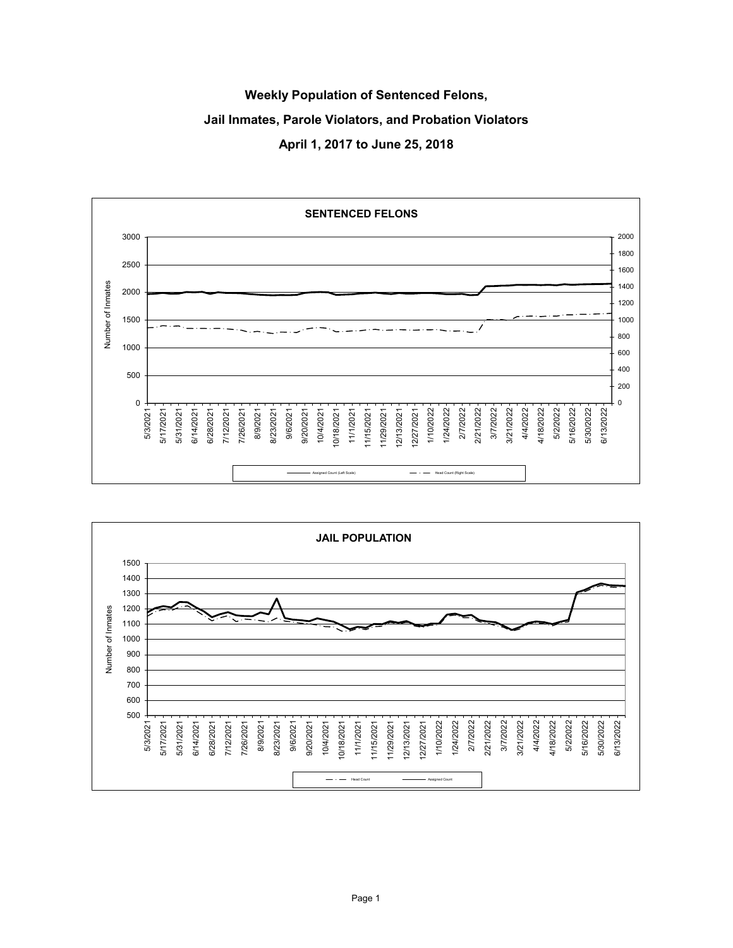# **Weekly Population of Sentenced Felons, Jail Inmates, Parole Violators, and Probation Violators April 1, 2017 to June 25, 2018**